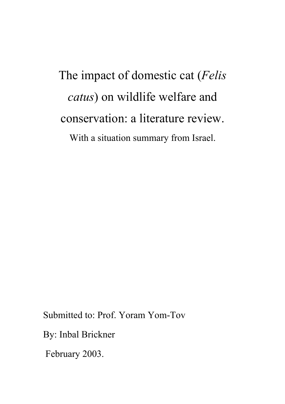The impact of domestic cat (*Felis catus*) on wildlife welfare and conservation: a literature review. With a situation summary from Israel.

Submitted to: Prof. Yoram Yom-Tov

By: Inbal Brickner

February 2003.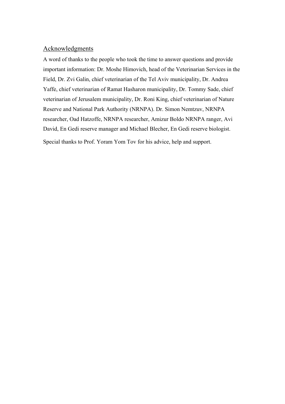# **Acknowledgments**

A word of thanks to the people who took the time to answer questions and provide important information: Dr. Moshe Himovich, head of the Veterinarian Services in the Field, Dr. Zvi Galin, chief veterinarian of the Tel Aviv municipality, Dr. Andrea Yaffe, chief veterinarian of Ramat Hasharon municipality, Dr. Tommy Sade, chief veterinarian of Jerusalem municipality, Dr. Roni King, chief veterinarian of Nature Reserve and National Park Authority (NRNPA). Dr. Simon Nemtzuv, NRNPA researcher, Oad Hatzoffe, NRNPA researcher, Amizur Boldo NRNPA ranger, Avi David, En Gedi reserve manager and Michael Blecher, En Gedi reserve biologist. Special thanks to Prof. Yoram Yom Tov for his advice, help and support.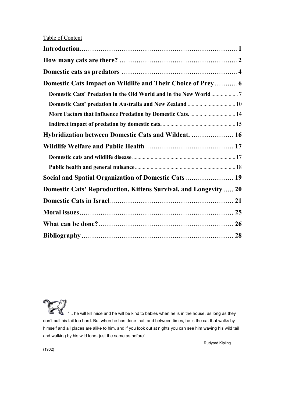| Domestic Cats Impact on Wildlife and Their Choice of Prey 6             |  |
|-------------------------------------------------------------------------|--|
|                                                                         |  |
|                                                                         |  |
| More Factors that Influence Predation by Domestic Cats.  14             |  |
|                                                                         |  |
| Hybridization between Domestic Cats and Wildcat.  16                    |  |
|                                                                         |  |
|                                                                         |  |
|                                                                         |  |
| Social and Spatial Organization of Domestic Cats  19                    |  |
| <b>Domestic Cats' Reproduction, Kittens Survival, and Longevity  20</b> |  |
|                                                                         |  |
|                                                                         |  |
|                                                                         |  |
|                                                                         |  |

... he will kill mice and he will be kind to babies when he is in the house, as long as they don't pull his tail too hard. But when he has done that, and between times, he is the cat that walks by himself and all places are alike to him, and if you look out at nights you can see him waving his wild tail and walking by his wild lone- just the same as before".

Rudyard Kipling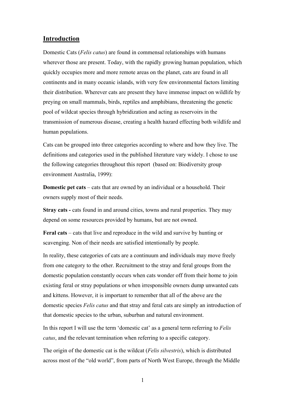### **Introduction**

Domestic Cats (*Felis catus*) are found in commensal relationships with humans wherever those are present. Today, with the rapidly growing human population, which quickly occupies more and more remote areas on the planet, cats are found in all continents and in many oceanic islands, with very few environmental factors limiting their distribution. Wherever cats are present they have immense impact on wildlife by preying on small mammals, birds, reptiles and amphibians, threatening the genetic pool of wildcat species through hybridization and acting as reservoirs in the transmission of numerous disease, creating a health hazard effecting both wildlife and human populations.

Cats can be grouped into three categories according to where and how they live. The definitions and categories used in the published literature vary widely. I chose to use the following categories throughout this report (based on: Biodiversity group environment Australia, 1999):

**Domestic pet cats** – cats that are owned by an individual or a household. Their owners supply most of their needs.

**Stray cats -** cats found in and around cities, towns and rural properties. They may depend on some resources provided by humans, but are not owned.

**Feral cats** – cats that live and reproduce in the wild and survive by hunting or scavenging. Non of their needs are satisfied intentionally by people.

In reality, these categories of cats are a continuum and individuals may move freely from one category to the other. Recruitment to the stray and feral groups from the domestic population constantly occurs when cats wonder off from their home to join existing feral or stray populations or when irresponsible owners dump unwanted cats and kittens. However, it is important to remember that all of the above are the domestic species *Felis catus* and that stray and feral cats are simply an introduction of that domestic species to the urban, suburban and natural environment.

In this report I will use the term 'domestic cat' as a general term referring to *Felis catus*, and the relevant termination when referring to a specific category.

The origin of the domestic cat is the wildcat (*Felis silvestris*), which is distributed across most of the "old world", from parts of North West Europe, through the Middle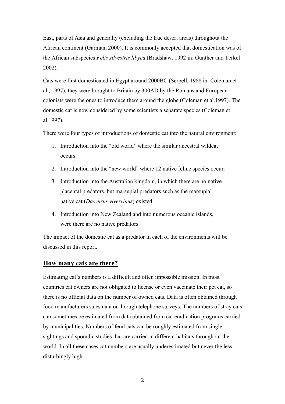East, parts of Asia and generally (excluding the true desert areas) throughout the African continent (Garman, 2000). It is commonly accepted that domestication was of the African subspecies *Felis silvestris libyca* (Bradshaw, 1992 in: Gunther and Terkel 2002).

Cats were first domesticated in Egypt around 2000BC (Serpell, 1988 in: Coleman et al., 1997), they were brought to Britain by 300AD by the Romans and European colonists were the ones to introduce them around the globe (Coleman et al.1997). The domestic cat is now considered by some scientists a separate species (Coleman et al.1997).

There were four types of introductions of domestic cat into the natural environment:

- 1. Introduction into the "old world" where the similar ancestral wildcat occurs.
- 2. Introduction into the "new world" where 12 native feline species occur.
- 3. Introduction into the Australian kingdom, in which there are no native placental predators, but marsupial predators such as the marsupial native cat (*Dasyurus viverrinus*) existed.
- 4. Introduction into New Zealand and into numerous oceanic islands, were there are no native predators.

The impact of the domestic cat as a predator in each of the environments will be discussed in this report.

## **How many cats are there?**

Estimating cat's numbers is a difficult and often impossible mission. In most countries cat owners are not obligated to license or even vaccinate their pet cat, so there is no official data on the number of owned cats. Data is often obtained through food manufacturers sales data or through telephone surveys. The numbers of stray cats can sometimes be estimated from data obtained from cat eradication programs carried by municipalities. Numbers of feral cats can be roughly estimated from single sightings and sporadic studies that are carried in different habitats throughout the world. In all these cases cat numbers are usually underestimated but never the less disturbingly high.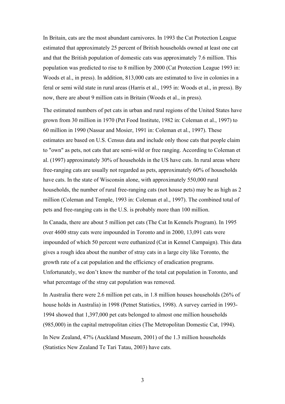In Britain, cats are the most abundant carnivores. In 1993 the Cat Protection League estimated that approximately 25 percent of British households owned at least one cat and that the British population of domestic cats was approximately 7.6 million. This population was predicted to rise to 8 million by 2000 (Cat Protection League 1993 in: Woods et al., in press). In addition, 813,000 cats are estimated to live in colonies in a feral or semi wild state in rural areas (Harris et al., 1995 in: Woods et al., in press). By now, there are about 9 million cats in Britain (Woods et al., in press).

The estimated numbers of pet cats in urban and rural regions of the United States have grown from 30 million in 1970 (Pet Food Institute, 1982 in: Coleman et al., 1997) to 60 million in 1990 (Nassar and Mosier, 1991 in: Coleman et al., 1997). These estimates are based on U.S. Census data and include only those cats that people claim to "own" as pets, not cats that are semi-wild or free ranging. According to Coleman et al. (1997) approximately 30% of households in the US have cats. In rural areas where free-ranging cats are usually not regarded as pets, approximately 60% of households have cats. In the state of Wisconsin alone, with approximately 550,000 rural households, the number of rural free-ranging cats (not house pets) may be as high as 2 million (Coleman and Temple, 1993 in: Coleman et al., 1997). The combined total of pets and free-ranging cats in the U.S. is probably more than 100 million.

In Canada, there are about 5 million pet cats (The Cat In Kennels Program). In 1995 over 4600 stray cats were impounded in Toronto and in 2000, 13,091 cats were impounded of which 50 percent were euthanized (Cat in Kennel Campaign). This data gives a rough idea about the number of stray cats in a large city like Toronto, the growth rate of a cat population and the efficiency of eradication programs. Unfortunately, we don't know the number of the total cat population in Toronto, and what percentage of the stray cat population was removed.

In Australia there were 2.6 million pet cats, in 1.8 million houses households (26% of house holds in Australia) in 1998 (Petnet Statistics, 1998). A survey carried in 1993- 1994 showed that 1,397,000 pet cats belonged to almost one million households (985,000) in the capital metropolitan cities (The Metropolitan Domestic Cat, 1994).

In New Zealand, 47% (Auckland Museum, 2001) of the 1.3 million households (Statistics New Zealand Te Tari Tatau, 2003) have cats.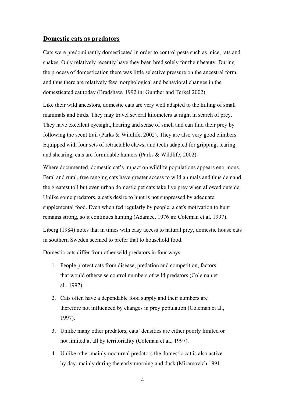### **Domestic cats as predators**

Cats were predominantly domesticated in order to control pests such as mice, rats and snakes. Only relatively recently have they been bred solely for their beauty. During the process of domestication there was little selective pressure on the ancestral form, and thus there are relatively few morphological and behavioral changes in the domesticated cat today (Bradshaw, 1992 in: Gunther and Terkel 2002).

Like their wild ancestors, domestic cats are very well adapted to the killing of small mammals and birds. They may travel several kilometers at night in search of prey. They have excellent eyesight, hearing and sense of smell and can find their prey by following the scent trail (Parks & Wildlife, 2002). They are also very good climbers. Equipped with four sets of retractable claws, and teeth adapted for gripping, tearing and shearing, cats are formidable hunters (Parks & Wildlife, 2002).

Where documented, domestic cat's impact on wildlife populations appears enormous. Feral and rural, free ranging cats have greater access to wild animals and thus demand the greatest toll but even urban domestic pet cats take live prey when allowed outside. Unlike some predators, a cat's desire to hunt is not suppressed by adequate supplemental food. Even when fed regularly by people, a cat's motivation to hunt remains strong, so it continues hunting (Adamec, 1976 in: Coleman et al. 1997).

Liberg (1984) notes that in times with easy access to natural prey, domestic house cats in southern Sweden seemed to prefer that to household food.

Domestic cats differ from other wild predators in four ways

- 1. People protect cats from disease, predation and competition, factors that would otherwise control numbers of wild predators (Coleman et al., 1997).
- 2. Cats often have a dependable food supply and their numbers are therefore not influenced by changes in prey population (Coleman et al., 1997).
- 3. Unlike many other predators, cats' densities are either poorly limited or not limited at all by territoriality (Coleman et al., 1997).
- 4. Unlike other mainly nocturnal predators the domestic cat is also active by day, mainly during the early morning and dusk (Miramovich 1991: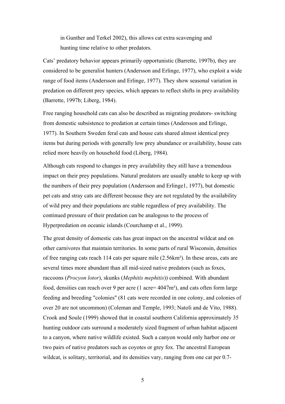in Gunther and Terkel 2002), this allows cat extra scavenging and hunting time relative to other predators.

Cats' predatory behavior appears primarily opportunistic (Barrette, 1997b), they are considered to be generalist hunters (Andersson and Erlinge, 1977), who exploit a wide range of food items (Andersson and Erlinge, 1977). They show seasonal variation in predation on different prey species, which appears to reflect shifts in prey availability (Barrette, 1997b; Liberg, 1984).

Free ranging household cats can also be described as migrating predators- switching from domestic subsistence to predation at certain times (Andersson and Erlinge, 1977). In Southern Sweden feral cats and house cats shared almost identical prey items but during periods with generally low prey abundance or availability, house cats relied more heavily on household food (Liberg, 1984).

Although cats respond to changes in prey availability they still have a tremendous impact on their prey populations. Natural predators are usually unable to keep up with the numbers of their prey population (Andersson and Erlinge1, 1977), but domestic pet cats and stray cats are different because they are not regulated by the availability of wild prey and their populations are stable regardless of prey availability. The continued pressure of their predation can be analogous to the process of Hyperpredation on oceanic islands (Courchamp et al., 1999).

The great density of domestic cats has great impact on the ancestral wildcat and on other carnivores that maintain territories. In some parts of rural Wisconsin, densities of free ranging cats reach 114 cats per square mile (2.56km²). In these areas, cats are several times more abundant than all mid-sized native predators (such as foxes, raccoons (*Procyon lotor*), skunks (*Mephitis mephitis*)) combined. With abundant food, densities can reach over 9 per acre (1 acre= 4047m²), and cats often form large feeding and breeding "colonies" (81 cats were recorded in one colony, and colonies of over 20 are not uncommon) (Coleman and Temple, 1993; Natoli and de Vito, 1988). Crook and Soule (1999) showed that in coastal southern California approximately 35 hunting outdoor cats surround a moderately sized fragment of urban habitat adjacent to a canyon, where native wildlife existed. Such a canyon would only harbor one or two pairs of native predators such as coyotes or grey fox. The ancestral European wildcat, is solitary, territorial, and its densities vary, ranging from one cat per 0.7-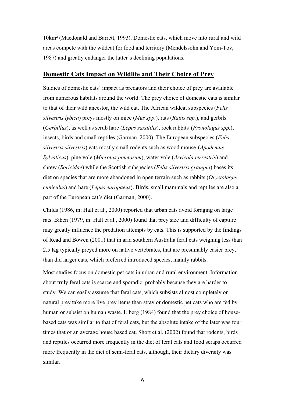10km² (Macdonald and Barrett, 1993). Domestic cats, which move into rural and wild areas compete with the wildcat for food and territory (Mendelssohn and Yom-Tov, 1987) and greatly endanger the latter's declining populations.

### **Domestic Cats Impact on Wildlife and Their Choice of Prey**

Studies of domestic cats' impact as predators and their choice of prey are available from numerous habitats around the world. The prey choice of domestic cats is similar to that of their wild ancestor, the wild cat. The African wildcat subspecies (*Felis silvestris lybica*) preys mostly on mice (*Mus spp.*), rats (*Ratus spp.*), and gerbils (*Gerbillus*), as well as scrub hare (*Lepus saxatilis*), rock rabbits (*Pronolagus spp.*), insects, birds and small reptiles (Garman, 2000). The European subspecies (*Felis silvestris silvestris*) eats mostly small rodents such as wood mouse (*Apodemus Sylvaticus*), pine vole (*Microtus pinetorum*), water vole (*Arvicola terrestris*) and shrew (*Soricidae*) while the Scottish subspecies (*Felis silvestris grampia*) bases its diet on species that are more abandoned in open terrain such as rabbits (*Oryctolagus cuniculus*) and hare (*Lepus europaeus*). Birds, small mammals and reptiles are also a part of the European cat's diet (Garman, 2000).

Childs (1986, in: Hall et al., 2000) reported that urban cats avoid foraging on large rats. Biben (1979, in: Hall et al., 2000) found that prey size and difficulty of capture may greatly influence the predation attempts by cats. This is supported by the findings of Read and Bowen (2001) that in arid southern Australia feral cats weighing less than 2.5 Kg typically preyed more on native vertebrates, that are presumably easier prey, than did larger cats, which preferred introduced species, mainly rabbits.

Most studies focus on domestic pet cats in urban and rural environment. Information about truly feral cats is scarce and sporadic, probably because they are harder to study. We can easily assume that feral cats, which subsists almost completely on natural prey take more live prey items than stray or domestic pet cats who are fed by human or subsist on human waste. Liberg (1984) found that the prey choice of housebased cats was similar to that of feral cats, but the absolute intake of the later was four times that of an average house based cat. Short et al. (2002) found that rodents, birds and reptiles occurred more frequently in the diet of feral cats and food scraps occurred more frequently in the diet of semi-feral cats, although, their dietary diversity was similar.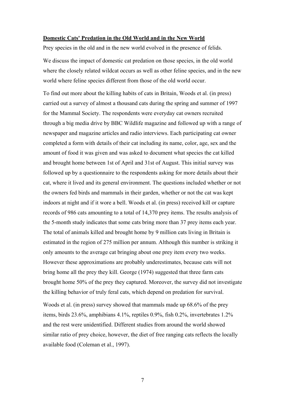#### **Domestic Cats' Predation in the Old World and in the New World**

Prey species in the old and in the new world evolved in the presence of felids.

We discuss the impact of domestic cat predation on those species, in the old world where the closely related wildcat occurs as well as other feline species, and in the new world where feline species different from those of the old world occur.

To find out more about the killing habits of cats in Britain, Woods et al. (in press) carried out a survey of almost a thousand cats during the spring and summer of 1997 for the Mammal Society. The respondents were everyday cat owners recruited through a big media drive by BBC Wildlife magazine and followed up with a range of newspaper and magazine articles and radio interviews. Each participating cat owner completed a form with details of their cat including its name, color, age, sex and the amount of food it was given and was asked to document what species the cat killed and brought home between 1st of April and 31st of August. This initial survey was followed up by a questionnaire to the respondents asking for more details about their cat, where it lived and its general environment. The questions included whether or not the owners fed birds and mammals in their garden, whether or not the cat was kept indoors at night and if it wore a bell. Woods et al. (in press) received kill or capture records of 986 cats amounting to a total of 14,370 prey items. The results analysis of the 5-month study indicates that some cats bring more than 37 prey items each year. The total of animals killed and brought home by 9 million cats living in Britain is estimated in the region of 275 million per annum. Although this number is striking it only amounts to the average cat bringing about one prey item every two weeks. However these approximations are probably underestimates, because cats will not bring home all the prey they kill. George (1974) suggested that three farm cats brought home 50% of the prey they captured. Moreover, the survey did not investigate the killing behavior of truly feral cats, which depend on predation for survival.

Woods et al. (in press) survey showed that mammals made up 68.6% of the prey items, birds 23.6%, amphibians 4.1%, reptiles 0.9%, fish 0.2%, invertebrates 1.2% and the rest were unidentified. Different studies from around the world showed similar ratio of prey choice, however, the diet of free ranging cats reflects the locally available food (Coleman et al., 1997).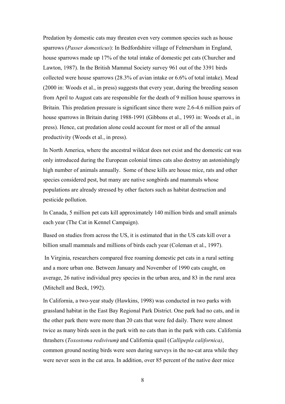Predation by domestic cats may threaten even very common species such as house sparrows (*Passer domesticus*): In Bedfordshire village of Felmersham in England, house sparrows made up 17% of the total intake of domestic pet cats (Churcher and Lawton, 1987). In the British Mammal Society survey 961 out of the 3391 birds collected were house sparrows (28.3% of avian intake or 6.6% of total intake). Mead (2000 in: Woods et al., in press) suggests that every year, during the breeding season from April to August cats are responsible for the death of 9 million house sparrows in Britain. This predation pressure is significant since there were 2.6-4.6 million pairs of house sparrows in Britain during 1988-1991 (Gibbons et al., 1993 in: Woods et al., in press). Hence, cat predation alone could account for most or all of the annual productivity (Woods et al., in press).

In North America, where the ancestral wildcat does not exist and the domestic cat was only introduced during the European colonial times cats also destroy an astonishingly high number of animals annually. Some of these kills are house mice, rats and other species considered pest, but many are native songbirds and mammals whose populations are already stressed by other factors such as habitat destruction and pesticide pollution.

In Canada, 5 million pet cats kill approximately 140 million birds and small animals each year (The Cat in Kennel Campaign).

Based on studies from across the US, it is estimated that in the US cats kill over a billion small mammals and millions of birds each year (Coleman et al., 1997).

 In Virginia, researchers compared free roaming domestic pet cats in a rural setting and a more urban one. Between January and November of 1990 cats caught, on average, 26 native individual prey species in the urban area, and 83 in the rural area (Mitchell and Beck, 1992).

In California, a two-year study (Hawkins, 1998) was conducted in two parks with grassland habitat in the East Bay Regional Park District. One park had no cats, and in the other park there were more than 20 cats that were fed daily. There were almost twice as many birds seen in the park with no cats than in the park with cats. California thrashers (*Toxostoma redivivum)* and California quail (*Callipepla californica)*, common ground nesting birds were seen during surveys in the no-cat area while they were never seen in the cat area. In addition, over 85 percent of the native deer mice

<sup>8</sup>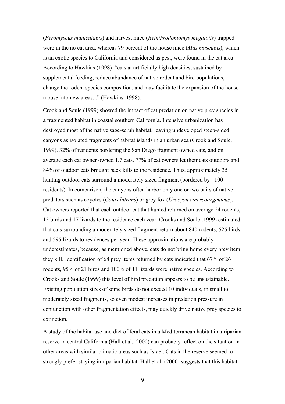(*Peromyscus maniculatus*) and harvest mice (*Reinthrodontomys megalotis*) trapped were in the no cat area, whereas 79 percent of the house mice (*Mus musculus*), which is an exotic species to California and considered as pest, were found in the cat area. According to Hawkins (1998) "cats at artificially high densities, sustained by supplemental feeding, reduce abundance of native rodent and bird populations, change the rodent species composition, and may facilitate the expansion of the house mouse into new areas..." (Hawkins, 1998).

Crook and Soule (1999) showed the impact of cat predation on native prey species in a fragmented habitat in coastal southern California. Intensive urbanization has destroyed most of the native sage-scrub habitat, leaving undeveloped steep-sided canyons as isolated fragments of habitat islands in an urban sea (Crook and Soule, 1999). 32% of residents bordering the San Diego fragment owned cats, and on average each cat owner owned 1.7 cats. 77% of cat owners let their cats outdoors and 84% of outdoor cats brought back kills to the residence. Thus, approximately 35 hunting outdoor cats surround a moderately sized fragment (bordered by  $\sim$ 100 residents). In comparison, the canyons often harbor only one or two pairs of native predators such as coyotes (*Canis latrans*) or grey fox (*Urocyon cinereoargenteus*). Cat owners reported that each outdoor cat that hunted returned on average 24 rodents, 15 birds and 17 lizards to the residence each year. Crooks and Soule (1999) estimated that cats surrounding a moderately sized fragment return about 840 rodents, 525 birds and 595 lizards to residences per year. These approximations are probably underestimates, because, as mentioned above, cats do not bring home every prey item they kill. Identification of 68 prey items returned by cats indicated that 67% of 26 rodents, 95% of 21 birds and 100% of 11 lizards were native species. According to Crooks and Soule (1999) this level of bird predation appears to be unsustainable. Existing population sizes of some birds do not exceed 10 individuals, in small to moderately sized fragments, so even modest increases in predation pressure in conjunction with other fragmentation effects, may quickly drive native prey species to extinction.

A study of the habitat use and diet of feral cats in a Mediterranean habitat in a riparian reserve in central California (Hall et al., 2000) can probably reflect on the situation in other areas with similar climatic areas such as Israel. Cats in the reserve seemed to strongly prefer staying in riparian habitat. Hall et al. (2000) suggests that this habitat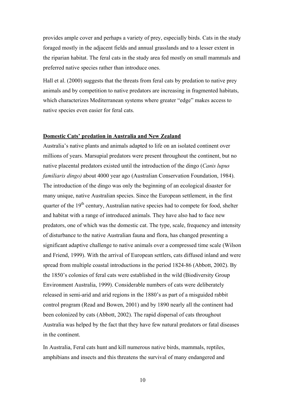provides ample cover and perhaps a variety of prey, especially birds. Cats in the study foraged mostly in the adjacent fields and annual grasslands and to a lesser extent in the riparian habitat. The feral cats in the study area fed mostly on small mammals and preferred native species rather than introduce ones.

Hall et al. (2000) suggests that the threats from feral cats by predation to native prey animals and by competition to native predators are increasing in fragmented habitats, which characterizes Mediterranean systems where greater "edge" makes access to native species even easier for feral cats.

#### **Domestic Cats' predation in Australia and New Zealand**

Australia's native plants and animals adapted to life on an isolated continent over millions of years. Marsupial predators were present throughout the continent, but no native placental predators existed until the introduction of the dingo (*Canis lupus familiaris dingo)* about 4000 year ago (Australian Conservation Foundation, 1984). The introduction of the dingo was only the beginning of an ecological disaster for many unique, native Australian species. Since the European settlement, in the first quarter of the 19<sup>th</sup> century, Australian native species had to compete for food, shelter and habitat with a range of introduced animals. They have also had to face new predators, one of which was the domestic cat. The type, scale, frequency and intensity of disturbance to the native Australian fauna and flora, has changed presenting a significant adaptive challenge to native animals over a compressed time scale (Wilson and Friend, 1999). With the arrival of European settlers, cats diffused inland and were spread from multiple coastal introductions in the period 1824-86 (Abbott, 2002). By the 1850's colonies of feral cats were established in the wild (Biodiversity Group Environment Australia, 1999). Considerable numbers of cats were deliberately released in semi-arid and arid regions in the 1880's as part of a misguided rabbit control program (Read and Bowen, 2001) and by 1890 nearly all the continent had been colonized by cats (Abbott, 2002). The rapid dispersal of cats throughout Australia was helped by the fact that they have few natural predators or fatal diseases in the continent.

In Australia, Feral cats hunt and kill numerous native birds, mammals, reptiles, amphibians and insects and this threatens the survival of many endangered and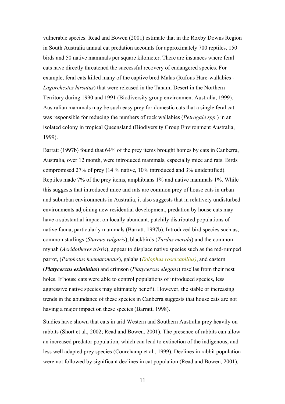vulnerable species. Read and Bowen (2001) estimate that in the Roxby Downs Region in South Australia annual cat predation accounts for approximately 700 reptiles, 150 birds and 50 native mammals per square kilometer. There are instances where feral cats have directly threatened the successful recovery of endangered species. For example, feral cats killed many of the captive bred Malas (Rufous Hare-wallabies - *Lagorchestes hirsutus*) that were released in the Tanami Desert in the Northern Territory during 1990 and 1991 (Biodiversity group environment Australia, 1999). Australian mammals may be such easy prey for domestic cats that a single feral cat was responsible for reducing the numbers of rock wallabies (*Petrogale spp.*) in an isolated colony in tropical Queensland (Biodiversity Group Environment Australia, 1999).

Barratt (1997b) found that 64% of the prey items brought homes by cats in Canberra, Australia, over 12 month, were introduced mammals, especially mice and rats. Birds compromised 27% of prey (14 % native, 10% introduced and 3% unidentified). Reptiles made 7% of the prey items, amphibians 1% and native mammals 1%. While this suggests that introduced mice and rats are common prey of house cats in urban and suburban environments in Australia, it also suggests that in relatively undisturbed environments adjoining new residential development, predation by house cats may have a substantial impact on locally abundant, patchily distributed populations of native fauna, particularly mammals (Barratt, 1997b). Introduced bird species such as, common starlings (*Sturnus vulgaris*), blackbirds (*Turdus merula*) and the common mynah (*Acridotheres tristis*), appear to displace native species such as the red-rumped parrot, (*Psephotus haematonotus*), galahs (*Eolophus roseicapillus)*, and eastern (*Platycercus eximinius*) and crimson (*Platycercus elegans*) rosellas from their nest holes. If house cats were able to control populations of introduced species, less aggressive native species may ultimately benefit. However, the stable or increasing trends in the abundance of these species in Canberra suggests that house cats are not having a major impact on these species (Barratt, 1998).

Studies have shown that cats in arid Western and Southern Australia prey heavily on rabbits (Short et al., 2002; Read and Bowen, 2001). The presence of rabbits can allow an increased predator population, which can lead to extinction of the indigenous, and less well adapted prey species (Courchamp et al., 1999). Declines in rabbit population were not followed by significant declines in cat population (Read and Bowen, 2001),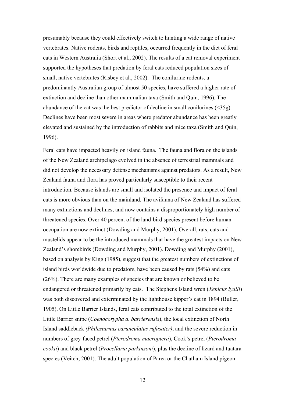presumably because they could effectively switch to hunting a wide range of native vertebrates. Native rodents, birds and reptiles, occurred frequently in the diet of feral cats in Western Australia (Short et al., 2002). The results of a cat removal experiment supported the hypotheses that predation by feral cats reduced population sizes of small, native vertebrates (Risbey et al., 2002). The conilurine rodents, a predominantly Australian group of almost 50 species, have suffered a higher rate of extinction and decline than other mammalian taxa (Smith and Quin, 1996). The abundance of the cat was the best predictor of decline in small conilurines (<35g). Declines have been most severe in areas where predator abundance has been greatly elevated and sustained by the introduction of rabbits and mice taxa (Smith and Quin, 1996).

Feral cats have impacted heavily on island fauna. The fauna and flora on the islands of the New Zealand archipelago evolved in the absence of terrestrial mammals and did not develop the necessary defense mechanisms against predators. As a result, New Zealand fauna and flora has proved particularly susceptible to their recent introduction. Because islands are small and isolated the presence and impact of feral cats is more obvious than on the mainland. The avifauna of New Zealand has suffered many extinctions and declines, and now contains a disproportionately high number of threatened species. Over 40 percent of the land-bird species present before human occupation are now extinct (Dowding and Murphy, 2001). Overall, rats, cats and mustelids appear to be the introduced mammals that have the greatest impacts on New Zealand's shorebirds (Dowding and Murphy, 2001). Dowding and Murphy (2001), based on analysis by King (1985), suggest that the greatest numbers of extinctions of island birds worldwide due to predators, have been caused by rats (54%) and cats (26%). There are many examples of species that are known or believed to be endangered or threatened primarily by cats. The Stephens Island wren (*Xenicus lyalli*) was both discovered and exterminated by the lighthouse kipper's cat in 1894 (Buller, 1905). On Little Barrier Islands, feral cats contributed to the total extinction of the Little Barrier snipe (*Coenocorypha a. barrierensis*), the local extinction of North Island saddleback *(Philesturnus carunculatus rufusater)*, and the severe reduction in numbers of grey-faced petrel (*Pterodroma macroptera*), Cook's petrel (*Pterodroma cookii*) and black petrel (*Procellaria parkinsoni*), plus the decline of lizard and tuatara species (Veitch, 2001). The adult population of Parea or the Chatham Island pigeon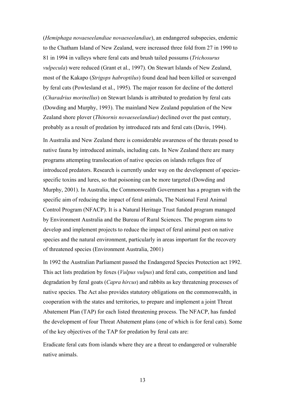(*Hemiphaga novaeseelandiae novaeseelandiae*), an endangered subspecies, endemic to the Chatham Island of New Zealand, were increased three fold from 27 in 1990 to 81 in 1994 in valleys where feral cats and brush tailed possums (*Trichosurus vulpecula*) were reduced (Grant et al., 1997). On Stewart Islands of New Zealand, most of the Kakapo (*Strigops habroptilus*) found dead had been killed or scavenged by feral cats (Powlesland et al., 1995). The major reason for decline of the dotterel (*Charadrius morinellus*) on Stewart Islands is attributed to predation by feral cats (Dowding and Murphy, 1993). The mainland New Zealand population of the New Zealand shore plover (*Thinornis novaeseelandiae*) declined over the past century, probably as a result of predation by introduced rats and feral cats (Davis, 1994).

In Australia and New Zealand there is considerable awareness of the threats posed to native fauna by introduced animals, including cats. In New Zealand there are many programs attempting translocation of native species on islands refuges free of introduced predators. Research is currently under way on the development of speciesspecific toxins and lures, so that poisoning can be more targeted (Dowding and Murphy, 2001). In Australia, the Commonwealth Government has a program with the specific aim of reducing the impact of feral animals, The National Feral Animal Control Program (NFACP). It is a Natural Heritage Trust funded program managed by Environment Australia and the Bureau of Rural Sciences. The program aims to develop and implement projects to reduce the impact of feral animal pest on native species and the natural environment, particularly in areas important for the recovery of threatened species (Environment Australia, 2001)

In 1992 the Australian Parliament passed the Endangered Species Protection act 1992. This act lists predation by foxes (*Vulpus vulpus*) and feral cats, competition and land degradation by feral goats (*Capra hircus*) and rabbits as key threatening processes of native species. The Act also provides statutory obligations on the commonwealth, in cooperation with the states and territories, to prepare and implement a joint Threat Abatement Plan (TAP) for each listed threatening process. The NFACP, has funded the development of four Threat Abatement plans (one of which is for feral cats). Some of the key objectives of the TAP for predation by feral cats are:

Eradicate feral cats from islands where they are a threat to endangered or vulnerable native animals.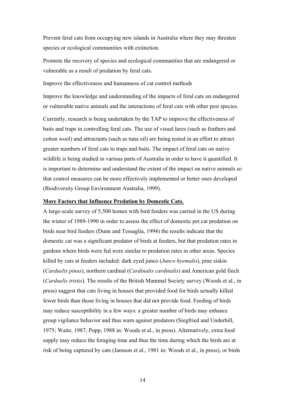Prevent feral cats from occupying new islands in Australia where they may threaten species or ecological communities with extinction.

Promote the recovery of species and ecological communities that are endangered or vulnerable as a result of predation by feral cats.

Improve the effectiveness and humanness of cat control methods

Improve the knowledge and understanding of the impacts of feral cats on endangered or vulnerable native animals and the interactions of feral cats with other pest species.

Currently, research is being undertaken by the TAP to improve the effectiveness of baits and traps in controlling feral cats. The use of visual lures (such as feathers and cotton wool) and attractants (such as tuna oil) are being tested in an effort to attract greater numbers of feral cats to traps and baits. The impact of feral cats on native wildlife is being studied in various parts of Australia in order to have it quantified. It is important to determine and understand the extent of the impact on native animals so that control measures can be more effectively implemented or better ones developed (Biodiversity Group Environment Australia, 1999).

#### **More Factors that Influence Predation by Domestic Cats.**

A large-scale survey of 5,500 homes with bird feeders was carried in the US during the winter of 1989-1990 in order to assess the effect of domestic pet cat predation on birds near bird feeders (Dunn and Tessaglia, 1994) the results indicate that the domestic cat was a significant predator of birds at feeders, but that predation rates in gardens where birds were fed were similar to predation rates in other areas. Species killed by cats at feeders included: dark eyed junco (*Junco hyemalis*), pine siskin (*Carduelis pinus*), northern cardinal (*Cardinalis cardinalis*) and American gold finch (*Carduelis tristis*). The results of the British Mammal Society survey (Woods et al., in press) suggest that cats living in houses that provided food for birds actually killed fewer birds than those living in houses that did not provide food. Feeding of birds may reduce susceptibility in a few ways: a greater number of birds may enhance group vigilance behavior and thus warn against predators (Siegfried and Underhill, 1975; Waite, 1987; Popp, 1988 in: Woods et al., in press). Alternatively, extra food supply may reduce the foraging time and thus the time during which the birds are at risk of being captured by cats (Jansson et al., 1981 in: Woods et al., in press), or birds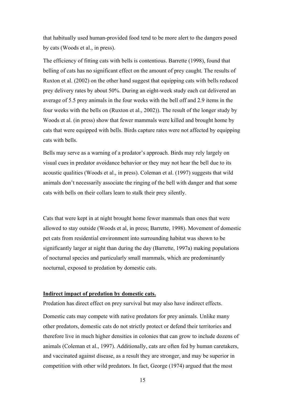that habitually used human-provided food tend to be more alert to the dangers posed by cats (Woods et al., in press).

The efficiency of fitting cats with bells is contentious. Barrette (1998), found that belling of cats has no significant effect on the amount of prey caught. The results of Ruxton et al. (2002) on the other hand suggest that equipping cats with bells reduced prey delivery rates by about 50%. During an eight-week study each cat delivered an average of 5.5 prey animals in the four weeks with the bell off and 2.9 items in the four weeks with the bells on (Ruxton et al., 2002)). The result of the longer study by Woods et al. (in press) show that fewer mammals were killed and brought home by cats that were equipped with bells. Birds capture rates were not affected by equipping cats with bells.

Bells may serve as a warning of a predator's approach. Birds may rely largely on visual cues in predator avoidance behavior or they may not hear the bell due to its acoustic qualities (Woods et al., in press). Coleman et al. (1997) suggests that wild animals don't necessarily associate the ringing of the bell with danger and that some cats with bells on their collars learn to stalk their prey silently.

Cats that were kept in at night brought home fewer mammals than ones that were allowed to stay outside (Woods et al, in press; Barrette, 1998). Movement of domestic pet cats from residential environment into surrounding habitat was shown to be significantly larger at night than during the day (Barrette, 1997a) making populations of nocturnal species and particularly small mammals, which are predominantly nocturnal, exposed to predation by domestic cats.

#### **Indirect impact of predation by domestic cats.**

Predation has direct effect on prey survival but may also have indirect effects.

Domestic cats may compete with native predators for prey animals. Unlike many other predators, domestic cats do not strictly protect or defend their territories and therefore live in much higher densities in colonies that can grow to include dozens of animals (Coleman et al., 1997). Additionally, cats are often fed by human caretakers, and vaccinated against disease, as a result they are stronger, and may be superior in competition with other wild predators. In fact, George (1974) argued that the most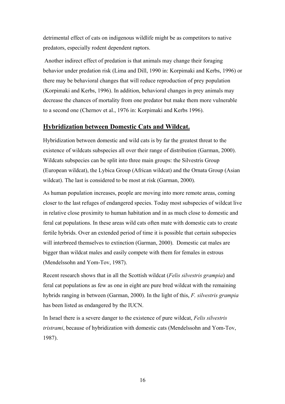detrimental effect of cats on indigenous wildlife might be as competitors to native predators, especially rodent dependent raptors.

 Another indirect effect of predation is that animals may change their foraging behavior under predation risk (Lima and Dill, 1990 in: Korpimaki and Kerbs, 1996) or there may be behavioral changes that will reduce reproduction of prey population (Korpimaki and Kerbs, 1996). In addition, behavioral changes in prey animals may decrease the chances of mortality from one predator but make them more vulnerable to a second one (Chernov et al., 1976 in: Korpimaki and Kerbs 1996).

## **Hybridization between Domestic Cats and Wildcat.**

Hybridization between domestic and wild cats is by far the greatest threat to the existence of wildcats subspecies all over their range of distribution (Garman, 2000). Wildcats subspecies can be split into three main groups: the Silvestris Group (European wildcat), the Lybica Group (African wildcat) and the Ornata Group (Asian wildcat). The last is considered to be most at risk (Garman, 2000).

As human population increases, people are moving into more remote areas, coming closer to the last refuges of endangered species. Today most subspecies of wildcat live in relative close proximity to human habitation and in as much close to domestic and feral cat populations. In these areas wild cats often mate with domestic cats to create fertile hybrids. Over an extended period of time it is possible that certain subspecies will interbreed themselves to extinction (Garman, 2000). Domestic cat males are bigger than wildcat males and easily compete with them for females in estrous (Mendelssohn and Yom-Tov, 1987).

Recent research shows that in all the Scottish wildcat (*Felis silvestris grampia*) and feral cat populations as few as one in eight are pure bred wildcat with the remaining hybrids ranging in between (Garman, 2000). In the light of this, *F. silvestris grampia* has been listed as endangered by the IUCN.

In Israel there is a severe danger to the existence of pure wildcat, *Felis silvestris tristrami*, because of hybridization with domestic cats (Mendelssohn and Yom-Tov, 1987).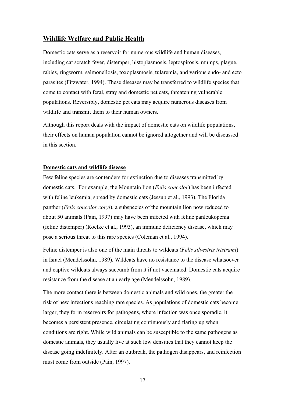### **Wildlife Welfare and Public Health**

Domestic cats serve as a reservoir for numerous wildlife and human diseases, including cat scratch fever, distemper, histoplasmosis, leptospirosis, mumps, plague, rabies, ringworm, salmonellosis, toxoplasmosis, tularemia, and various endo- and ecto parasites (Fitzwater, 1994). These diseases may be transferred to wildlife species that come to contact with feral, stray and domestic pet cats, threatening vulnerable populations. Reversibly, domestic pet cats may acquire numerous diseases from wildlife and transmit them to their human owners.

Although this report deals with the impact of domestic cats on wildlife populations, their effects on human population cannot be ignored altogether and will be discussed in this section.

#### **Domestic cats and wildlife disease**

Few feline species are contenders for extinction due to diseases transmitted by domestic cats. For example, the Mountain lion (*Felis concolor*) has been infected with feline leukemia, spread by domestic cats (Jessup et al., 1993). The Florida panther (*Felis concolor coryi*), a subspecies of the mountain lion now reduced to about 50 animals (Pain, 1997) may have been infected with feline panleukopenia (feline distemper) (Roelke et al., 1993), an immune deficiency disease, which may pose a serious threat to this rare species (Coleman et al., 1994).

Feline distemper is also one of the main threats to wildcats (*Felis silvestris tristrami*) in Israel (Mendelssohn, 1989). Wildcats have no resistance to the disease whatsoever and captive wildcats always succumb from it if not vaccinated. Domestic cats acquire resistance from the disease at an early age (Mendelssohn, 1989).

The more contact there is between domestic animals and wild ones, the greater the risk of new infections reaching rare species. As populations of domestic cats become larger, they form reservoirs for pathogens, where infection was once sporadic, it becomes a persistent presence, circulating continuously and flaring up when conditions are right. While wild animals can be susceptible to the same pathogens as domestic animals, they usually live at such low densities that they cannot keep the disease going indefinitely. After an outbreak, the pathogen disappears, and reinfection must come from outside (Pain, 1997).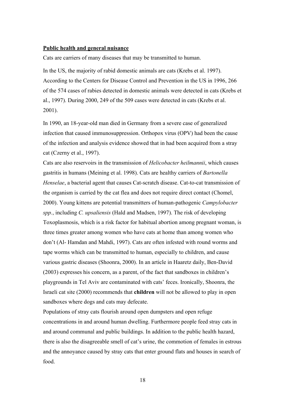#### **Public health and general nuisance**

Cats are carriers of many diseases that may be transmitted to human.

In the US, the majority of rabid domestic animals are cats (Krebs et al. 1997). According to the Centers for Disease Control and Prevention in the US in 1996, 266 of the 574 cases of rabies detected in domestic animals were detected in cats (Krebs et al., 1997). During 2000, 249 of the 509 cases were detected in cats (Krebs et al. 2001).

In 1990, an 18-year-old man died in Germany from a severe case of generalized infection that caused immunosuppression. Orthopox virus (OPV) had been the cause of the infection and analysis evidence showed that in had been acquired from a stray cat (Czerny et al., 1997).

Cats are also reservoirs in the transmission of *Helicobacter heilmannii*, which causes gastritis in humans (Meining et al. 1998). Cats are healthy carriers of *Bartonella Henselae*, a bacterial agent that causes Cat-scratch disease. Cat-to-cat transmission of the organism is carried by the cat flea and does not require direct contact (Chomel, 2000). Young kittens are potential transmitters of human-pathogenic *Campylobacter spp.*, including *C. upsaliensis* (Hald and Madsen, 1997). The risk of developing Toxoplasmosis, which is a risk factor for habitual abortion among pregnant woman, is three times greater among women who have cats at home than among women who don't (Al- Hamdan and Mahdi, 1997). Cats are often infested with round worms and tape worms which can be transmitted to human, especially to children, and cause various gastric diseases (Shoonra, 2000). In an article in Haaretz daily, Ben-David (2003) expresses his concern, as a parent, of the fact that sandboxes in children's playgrounds in Tel Aviv are contaminated with cats' feces. Ironically, Shoonra, the Israeli cat site (2000) recommends that **children** will not be allowed to play in open sandboxes where dogs and cats may defecate.

Populations of stray cats flourish around open dumpsters and open refuge concentrations in and around human dwelling. Furthermore people feed stray cats in and around communal and public buildings. In addition to the public health hazard, there is also the disagreeable smell of cat's urine, the commotion of females in estrous and the annoyance caused by stray cats that enter ground flats and houses in search of food.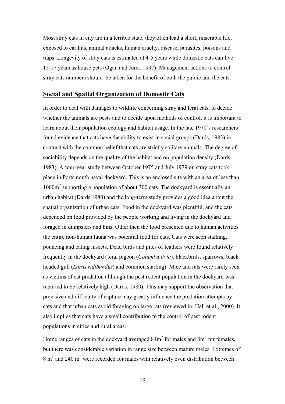Most stray cats in city are in a terrible state, they often lead a short, miserable life, exposed to car hits, animal attacks, human cruelty, disease, parasites, poisons and traps. Longevity of stray cats is estimated at 4-5 years while domestic cats can live 15-17 years as house pets (Ogan and Jurek 1997). Management actions to control stray cats numbers should be taken for the benefit of both the public and the cats.

### **Social and Spatial Organization of Domestic Cats**

In order to deal with damages to wildlife concerning stray and feral cats, to decide whether the animals are pests and to decide upon methods of control, it is important to learn about their population ecology and habitat usage. In the late 1970's researchers found evidence that cats have the ability to exist in social groups (Dards, 1983) in contrast with the common belief that cats are strictly solitary animals. The degree of sociability depends on the quality of the habitat and on population density (Dards, 1983). A four-year study between October 1975 and July 1979 on stray cats took place in Portsmouth naval dockyard. This is an enclosed site with an area of less than 1000m2 supporting a population of about 300 cats. The dockyard is essentially an urban habitat (Dards 1980) and the long-term study provides a good idea about the spatial organization of urban cats. Food in the dockyard was plentiful, and the cats depended on food provided by the people working and living in the dockyard and foraged in dumpsters and bins. Other then the food presented due to human activities the entire non-human fauna was potential food for cats. Cats were seen stalking, pouncing and eating insects. Dead birds and piles of feathers were found relatively frequently in the dockyard (feral pigeon (*Columba livia*), blackbirds, sparrows, black headed gull (*Larus ridibundus*) and common starling). Mice and rats were rarely seen as victims of cat predation although the pest rodent population in the dockyard was reported to be relatively high (Dards, 1980). This may support the observation that prey size and difficulty of capture may greatly influence the predation attempts by cats and that urban cats avoid foraging on large rats (reviewed in: Hall et al., 2000). It also implies that cats have a small contribution to the control of pest rodent populations in cities and rural areas.

Home ranges of cats in the dockyard averaged  $84m<sup>2</sup>$  for males and  $8m<sup>2</sup>$  for females, but there was considerable variation in range size between mature males. Extremes of  $8 \text{ m}^2$  and 240 m<sup>2</sup> were recorded for males with relatively even distribution between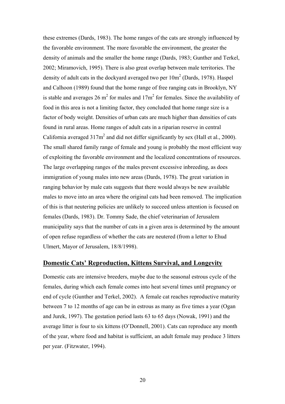these extremes (Dards, 1983). The home ranges of the cats are strongly influenced by the favorable environment. The more favorable the environment, the greater the density of animals and the smaller the home range (Dards, 1983; Gunther and Terkel, 2002; Miramovich, 1995). There is also great overlap between male territories. The density of adult cats in the dockyard averaged two per  $10m^2$  (Dards, 1978). Haspel and Calhoon (1989) found that the home range of free ranging cats in Brooklyn, NY is stable and averages 26  $m^2$  for males and 17 $m^2$  for females. Since the availability of food in this area is not a limiting factor, they concluded that home range size is a factor of body weight. Densities of urban cats are much higher than densities of cats found in rural areas. Home ranges of adult cats in a riparian reserve in central California averaged  $317m^2$  and did not differ significantly by sex (Hall et al., 2000). The small shared family range of female and young is probably the most efficient way of exploiting the favorable environment and the localized concentrations of resources. The large overlapping ranges of the males prevent excessive inbreeding, as does immigration of young males into new areas (Dards, 1978). The great variation in ranging behavior by male cats suggests that there would always be new available males to move into an area where the original cats had been removed. The implication of this is that neutering policies are unlikely to succeed unless attention is focused on females (Dards, 1983). Dr. Tommy Sade, the chief veterinarian of Jerusalem municipality says that the number of cats in a given area is determined by the amount of open refuse regardless of whether the cats are neutered (from a letter to Ehud Ulmert, Mayor of Jerusalem, 18/8/1998).

# **Domestic Cats' Reproduction, Kittens Survival, and Longevity**

Domestic cats are intensive breeders, maybe due to the seasonal estrous cycle of the females, during which each female comes into heat several times until pregnancy or end of cycle (Gunther and Terkel, 2002). A female cat reaches reproductive maturity between 7 to 12 months of age can be in estrous as many as five times a year (Ogan and Jurek, 1997). The gestation period lasts 63 to 65 days (Nowak, 1991) and the average litter is four to six kittens (O'Donnell, 2001). Cats can reproduce any month of the year, where food and habitat is sufficient, an adult female may produce 3 litters per year. (Fitzwater, 1994).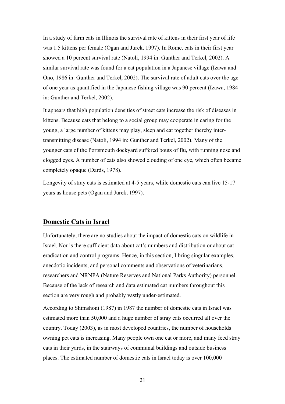In a study of farm cats in Illinois the survival rate of kittens in their first year of life was 1.5 kittens per female (Ogan and Jurek, 1997). In Rome, cats in their first year showed a 10 percent survival rate (Natoli, 1994 in: Gunther and Terkel, 2002). A similar survival rate was found for a cat population in a Japanese village (Izawa and Ono, 1986 in: Gunther and Terkel, 2002). The survival rate of adult cats over the age of one year as quantified in the Japanese fishing village was 90 percent (Izawa, 1984 in: Gunther and Terkel, 2002).

It appears that high population densities of street cats increase the risk of diseases in kittens. Because cats that belong to a social group may cooperate in caring for the young, a large number of kittens may play, sleep and eat together thereby intertransmitting disease (Natoli, 1994 in: Gunther and Terkel, 2002). Many of the younger cats of the Portsmouth dockyard suffered bouts of flu, with running nose and clogged eyes. A number of cats also showed clouding of one eye, which often became completely opaque (Dards, 1978).

Longevity of stray cats is estimated at 4-5 years, while domestic cats can live 15-17 years as house pets (Ogan and Jurek, 1997).

## **Domestic Cats in Israel**

Unfortunately, there are no studies about the impact of domestic cats on wildlife in Israel. Nor is there sufficient data about cat's numbers and distribution or about cat eradication and control programs. Hence, in this section, I bring singular examples, anecdotic incidents, and personal comments and observations of veterinarians, researchers and NRNPA (Nature Reserves and National Parks Authority) personnel. Because of the lack of research and data estimated cat numbers throughout this section are very rough and probably vastly under-estimated.

According to Shimshoni (1987) in 1987 the number of domestic cats in Israel was estimated more than 50,000 and a huge number of stray cats occurred all over the country. Today (2003), as in most developed countries, the number of households owning pet cats is increasing. Many people own one cat or more, and many feed stray cats in their yards, in the stairways of communal buildings and outside business places. The estimated number of domestic cats in Israel today is over 100,000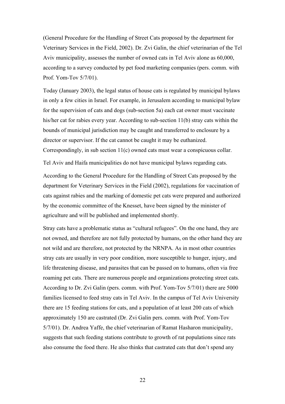(General Procedure for the Handling of Street Cats proposed by the department for Veterinary Services in the Field, 2002). Dr. Zvi Galin, the chief veterinarian of the Tel Aviv municipality, assesses the number of owned cats in Tel Aviv alone as 60,000, according to a survey conducted by pet food marketing companies (pers. comm. with Prof. Yom-Tov 5/7/01).

Today (January 2003), the legal status of house cats is regulated by municipal bylaws in only a few cities in Israel. For example, in Jerusalem according to municipal bylaw for the supervision of cats and dogs (sub-section 5a) each cat owner must vaccinate his/her cat for rabies every year. According to sub-section 11(b) stray cats within the bounds of municipal jurisdiction may be caught and transferred to enclosure by a director or supervisor. If the cat cannot be caught it may be euthanized. Correspondingly, in sub section 11(c) owned cats must wear a conspicuous collar.

Tel Aviv and Haifa municipalities do not have municipal bylaws regarding cats.

According to the General Procedure for the Handling of Street Cats proposed by the department for Veterinary Services in the Field (2002), regulations for vaccination of cats against rabies and the marking of domestic pet cats were prepared and authorized by the economic committee of the Knesset, have been signed by the minister of agriculture and will be published and implemented shortly.

Stray cats have a problematic status as "cultural refugees". On the one hand, they are not owned, and therefore are not fully protected by humans, on the other hand they are not wild and are therefore, not protected by the NRNPA. As in most other countries stray cats are usually in very poor condition, more susceptible to hunger, injury, and life threatening disease, and parasites that can be passed on to humans, often via free roaming pet cats. There are numerous people and organizations protecting street cats. According to Dr. Zvi Galin (pers. comm. with Prof. Yom-Tov 5/7/01) there are 5000 families licensed to feed stray cats in Tel Aviv. In the campus of Tel Aviv University there are 15 feeding stations for cats, and a population of at least 200 cats of which approximately 150 are castrated (Dr. Zvi Galin pers. comm. with Prof. Yom-Tov 5/7/01). Dr. Andrea Yaffe, the chief veterinarian of Ramat Hasharon municipality, suggests that such feeding stations contribute to growth of rat populations since rats also consume the food there. He also thinks that castrated cats that don't spend any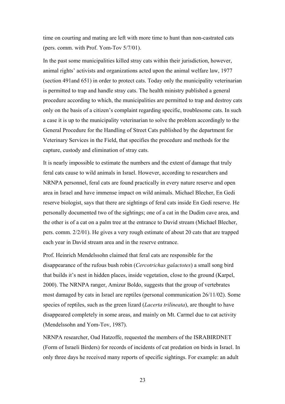time on courting and mating are left with more time to hunt than non-castrated cats (pers. comm. with Prof. Yom-Tov 5/7/01).

In the past some municipalities killed stray cats within their jurisdiction, however, animal rights' activists and organizations acted upon the animal welfare law, 1977 (section 491and 651) in order to protect cats. Today only the municipality veterinarian is permitted to trap and handle stray cats. The health ministry published a general procedure according to which, the municipalities are permitted to trap and destroy cats only on the basis of a citizen's complaint regarding specific, troublesome cats. In such a case it is up to the municipality veterinarian to solve the problem accordingly to the General Procedure for the Handling of Street Cats published by the department for Veterinary Services in the Field, that specifies the procedure and methods for the capture, custody and elimination of stray cats.

It is nearly impossible to estimate the numbers and the extent of damage that truly feral cats cause to wild animals in Israel. However, according to researchers and NRNPA personnel, feral cats are found practically in every nature reserve and open area in Israel and have immense impact on wild animals. Michael Blecher, En Gedi reserve biologist, says that there are sightings of feral cats inside En Gedi reserve. He personally documented two of the sightings; one of a cat in the Dudim cave area, and the other is of a cat on a palm tree at the entrance to David stream (Michael Blecher, pers. comm. 2/2/01). He gives a very rough estimate of about 20 cats that are trapped each year in David stream area and in the reserve entrance.

Prof. Heinrich Mendelssohn claimed that feral cats are responsible for the disappearance of the rufous bush robin (*Cercotrichas galactotes*) a small song bird that builds it's nest in hidden places, inside vegetation, close to the ground (Karpel, 2000). The NRNPA ranger, Amizur Boldo, suggests that the group of vertebrates most damaged by cats in Israel are reptiles (personal communication 26/11/02). Some species of reptiles, such as the green lizard (*Lacerta trilineata*), are thought to have disappeared completely in some areas, and mainly on Mt. Carmel due to cat activity (Mendelssohn and Yom-Tov, 1987).

NRNPA researcher, Oad Hatzoffe, requested the members of the ISRABIRDNET (Form of Israeli Birders) for records of incidents of cat predation on birds in Israel. In only three days he received many reports of specific sightings. For example: an adult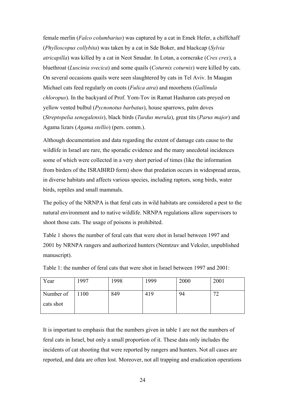female merlin (*Falco columbarius*) was captured by a cat in Emek Hefer, a chiffchaff (*Phylloscopus collybita*) was taken by a cat in Sde Boker, and blackcap (*Sylvia atricapilla*) was killed by a cat in Neot Smadar. In Lotan, a corncrake (*Crex crex*), a bluethroat (*Luscinia svecica*) and some quails (*Coturnix coturnix*) were killed by cats. On several occasions quails were seen slaughtered by cats in Tel Aviv. In Maagan Michael cats feed regularly on coots (*Fulica atra*) and moorhens (*Gallinula chloropus*). In the backyard of Prof. Yom-Tov in Ramat Hasharon cats preyed on yellow vented bulbul (*Pycnonotus barbatus*), house sparrows, palm doves (*Streptopelia senegalensis*), black birds (*Turdus merula*), great tits (*Parus major*) and Agama lizars (*Agama stellio*) (pers. comm.).

Although documentation and data regarding the extent of damage cats cause to the wildlife in Israel are rare, the sporadic evidence and the many anecdotal incidences some of which were collected in a very short period of times (like the information from birders of the ISRABIRD form) show that predation occurs in widespread areas, in diverse habitats and affects various species, including raptors, song birds, water birds, reptiles and small mammals.

The policy of the NRNPA is that feral cats in wild habitats are considered a pest to the natural environment and to native wildlife. NRNPA regulations allow supervisors to shoot those cats. The usage of poisons is prohibited.

Table 1 shows the number of feral cats that were shot in Israel between 1997 and 2001 by NRNPA rangers and authorized hunters (Nemtzuv and Veksler, unpublished manuscript).

| Year                   | 1997 | 1998 | 1999 | 2000 | 2001                                       |
|------------------------|------|------|------|------|--------------------------------------------|
| Number of<br>cats shot | 1100 | 849  | 419  | 94   | $\overline{\phantom{a}}$<br>$\overline{ }$ |

Table 1: the number of feral cats that were shot in Israel between 1997 and 2001:

It is important to emphasis that the numbers given in table 1 are not the numbers of feral cats in Israel, but only a small proportion of it. These data only includes the incidents of cat shooting that were reported by rangers and hunters. Not all cases are reported, and data are often lost. Moreover, not all trapping and eradication operations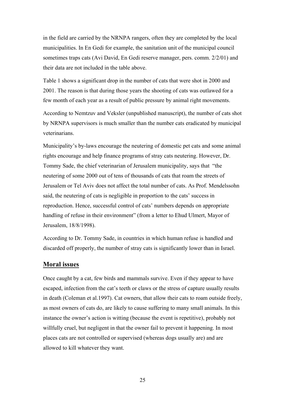in the field are carried by the NRNPA rangers, often they are completed by the local municipalities. In En Gedi for example, the sanitation unit of the municipal council sometimes traps cats (Avi David, En Gedi reserve manager, pers. comm. 2/2/01) and their data are not included in the table above.

Table 1 shows a significant drop in the number of cats that were shot in 2000 and 2001. The reason is that during those years the shooting of cats was outlawed for a few month of each year as a result of public pressure by animal right movements.

According to Nemtzuv and Veksler (unpublished manuscript), the number of cats shot by NRNPA supervisors is much smaller than the number cats eradicated by municipal veterinarians.

Municipality's by-laws encourage the neutering of domestic pet cats and some animal rights encourage and help finance programs of stray cats neutering. However, Dr. Tommy Sade, the chief veterinarian of Jerusalem municipality, says that "the neutering of some 2000 out of tens of thousands of cats that roam the streets of Jerusalem or Tel Aviv does not affect the total number of cats. As Prof. Mendelssohn said, the neutering of cats is negligible in proportion to the cats' success in reproduction. Hence, successful control of cats' numbers depends on appropriate handling of refuse in their environment" (from a letter to Ehud Ulmert, Mayor of Jerusalem, 18/8/1998).

According to Dr. Tommy Sade, in countries in which human refuse is handled and discarded off properly, the number of stray cats is significantly lower than in Israel.

### **Moral issues**

Once caught by a cat, few birds and mammals survive. Even if they appear to have escaped, infection from the cat's teeth or claws or the stress of capture usually results in death (Coleman et al.1997). Cat owners, that allow their cats to roam outside freely, as most owners of cats do, are likely to cause suffering to many small animals. In this instance the owner's action is witting (because the event is repetitive), probably not willfully cruel, but negligent in that the owner fail to prevent it happening. In most places cats are not controlled or supervised (whereas dogs usually are) and are allowed to kill whatever they want.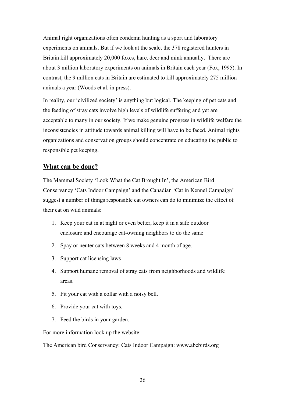Animal right organizations often condemn hunting as a sport and laboratory experiments on animals. But if we look at the scale, the 378 registered hunters in Britain kill approximately 20,000 foxes, hare, deer and mink annually. There are about 3 million laboratory experiments on animals in Britain each year (Fox, 1995). In contrast, the 9 million cats in Britain are estimated to kill approximately 275 million animals a year (Woods et al. in press).

In reality, our 'civilized society' is anything but logical. The keeping of pet cats and the feeding of stray cats involve high levels of wildlife suffering and yet are acceptable to many in our society. If we make genuine progress in wildlife welfare the inconsistencies in attitude towards animal killing will have to be faced. Animal rights organizations and conservation groups should concentrate on educating the public to responsible pet keeping.

# **What can be done?**

The Mammal Society 'Look What the Cat Brought In', the American Bird Conservancy 'Cats Indoor Campaign' and the Canadian 'Cat in Kennel Campaign' suggest a number of things responsible cat owners can do to minimize the effect of their cat on wild animals:

- 1. Keep your cat in at night or even better, keep it in a safe outdoor enclosure and encourage cat-owning neighbors to do the same
- 2. Spay or neuter cats between 8 weeks and 4 month of age.
- 3. Support cat licensing laws
- 4. Support humane removal of stray cats from neighborhoods and wildlife areas.
- 5. Fit your cat with a collar with a noisy bell.
- 6. Provide your cat with toys.
- 7. Feed the birds in your garden.

For more information look up the website:

The American bird Conservancy: Cats Indoor Campaign: www.abcbirds.org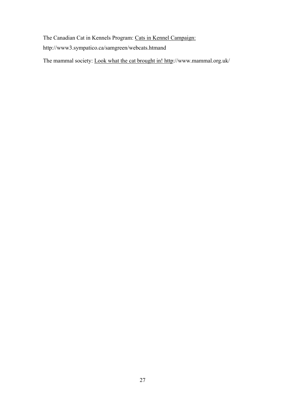The Canadian Cat in Kennels Program: Cats in Kennel Campaign: http://www3.sympatico.ca/samgreen/webcats.htmand

The mammal society: Look what the cat brought in! http://www.mammal.org.uk/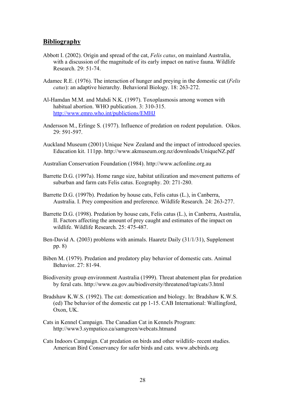# **Bibliography**

- Abbott I. (2002). Origin and spread of the cat, *Felis catus*, on mainland Australia, with a discussion of the magnitude of its early impact on native fauna. Wildlife Research. 29: 51-74.
- Adamec R.E. (1976). The interaction of hunger and preying in the domestic cat (*Felis catus*): an adaptive hierarchy. Behavioral Biology. 18: 263-272.
- Al-Hamdan M.M. and Mahdi N.K. (1997). Toxoplasmosis among women with habitual abortion. WHO publication. 3: 310-315. http://www.emro.who.int/publictions/EMHJ
- Andersson M., Erlinge S. (1977). Influence of predation on rodent population. Oikos. 29: 591-597.
- Auckland Museum (2001) Unique New Zealand and the impact of introduced species. Education kit. 111pp. http://www.akmuseum.org.nz/downloads/UniqueNZ.pdf
- Australian Conservation Foundation (1984). http://www.acfonline.org.au
- Barrette D.G. (1997a). Home range size, habitat utilization and movement patterns of suburban and farm cats Felis catus. Ecography. 20: 271-280.
- Barrette D.G. (1997b). Predation by house cats, Felis catus (L.), in Canberra, Australia. I. Prey composition and preference. Wildlife Research. 24: 263-277.
- Barrette D.G. (1998). Predation by house cats, Felis catus (L.), in Canberra, Australia, II. Factors affecting the amount of prey caught and estimates of the impact on wildlife. Wildlife Research. 25: 475-487.
- Ben-David A. (2003) problems with animals. Haaretz Daily (31/1/31), Supplement pp. 8)
- Biben M. (1979). Predation and predatory play behavior of domestic cats. Animal Behavior. 27: 81-94.
- Biodiversity group environment Australia (1999). Threat abatement plan for predation by feral cats. http://www.ea.gov.au/biodiversity/threatened/tap/cats/3.html
- Bradshaw K.W.S. (1992). The cat: domestication and biology. In: Bradshaw K.W.S. (ed) The behavior of the domestic cat pp 1-15. CAB International: Wallingford, Oxon, UK.
- Cats in Kennel Campaign. The Canadian Cat in Kennels Program: http://www3.sympatico.ca/samgreen/webcats.htmand
- Cats Indoors Campaign. Cat predation on birds and other wildlife- recent studies. American Bird Conservancy for safer birds and cats. www.abcbirds.org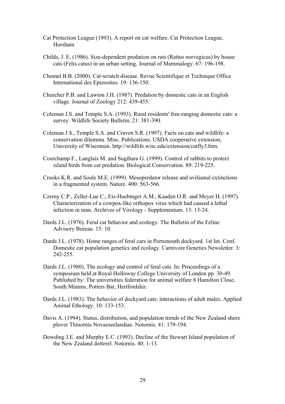- Cat Protection League (1993). A report on cat welfare. Cat Protection League, Horsham
- Childs, J. E. (1986). Size-dependent predation on rats (Rattus norvegicus) by house cats (Felis catus) in an urban setting. Journal of Mammalogy. 67: 196-198.
- Chomel B.B. (2000). Cat-scratch disease. Revue Scientifique et Technique Office International des Epizooties. 19: 136-150.
- Churcher P.B. and Lawton J.H. (1987). Predation by domestic cats in an English village. Journal of Zoology 212: 439-455.
- Coleman J.S. and Temple S.A. (1993). Rural residents' free-ranging domestic cats: a survey. Wildlife Society Bulletin. 21: 381-390*.*
- Coleman J.S., Temple S.A. and Craven S.R. (1997). Facts on cats and wildlife: a conservation dilemma. Misc. Publications, USDA cooperative extension, University of Wisconsin. http://wildlife.wisc.edu/extension/catfly3.htm.
- Courchamp F., Langlais M. and Sugihara G. (1999). Control of rabbits to protect island birds from cat predation. Biological Conservation. 89: 219-225.
- Crooks K.R. and Soule M.E. (1999). Mesopredator release and avifaunal extinctions in a fragmented system. Nature. 400: 563-566.
- Czerny C.P., Zeller-Lue C., Eis-Huebinger A.M., Kaaden O.R. and Meyer H. (1997). Characterization of a cowpox-like orthopox virus which had caused a lethal infection in man. Archives of Virology - Supplementum. 13: 13-24.
- Dards J.L. (1976). Feral cat behavior and ecology. The Bulletin of the Feline Advisory Bureau. 15: 10.
- Dards J.L. (1978). Home ranges of feral cars in Portsmouth dockyard. 1st Int. Conf. Domestic cat population genetics and ecology. Carnivore Genetics Newsletter. 3: 242-255.
- Dards J.L. (1980). The ecology and control of feral cats. In: Proceedings of a symposium held at Royal Holloway College University of London pp. 30-49. Published by: The universities federation for animal welfare 8 Hamilton Close, South Mimms, Potters Bar, Hertfordshir.
- Dards J.L. (1983). The behavior of dockyard cats: interactions of adult males. Applied Animal Ethology. 10: 133-153.
- Davis A. (1994). Status, distribution, and population trends of the New Zealand shore plover Thinornis Novaeseelandiae. Notornis. 41: 179-194.
- Dowding J.E. and Murphy E.C. (1993). Decline of the Stewart Island population of the New Zealand dotterel. Notornis. 40: 1-13.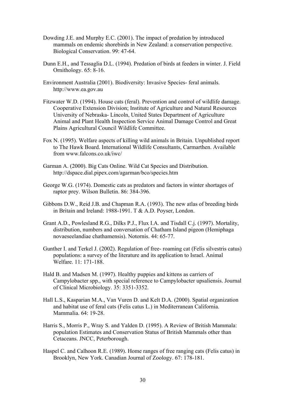- Dowding J.E. and Murphy E.C. (2001). The impact of predation by introduced mammals on endemic shorebirds in New Zealand: a conservation perspective. Biological Conservation. 99: 47-64.
- Dunn E.H., and Tessaglia D.L. (1994). Predation of birds at feeders in winter. J. Field Ornithology. 65: 8-16.
- Environment Australia (2001). Biodiversity: Invasive Species- feral animals. http://www.ea.gov.au
- Fitzwater W.D. (1994). House cats (feral). Prevention and control of wildlife damage. Cooperative Extension Division; Institute of Agriculture and Natural Resources University of Nebraska- Lincoln, United States Department of Agriculture Animal and Plant Health Inspection Service Animal Damage Control and Great Plains Agricultural Council Wildlife Committee.
- Fox N. (1995). Welfare aspects of killing wild animals in Britain. Unpublished report to The Hawk Board. International Wildlife Consultants, Carmarthen. Available from www.falcons.co.uk/iwc/
- Garman A. (2000). Big Cats Online. Wild Cat Species and Distribution. http://dspace.dial.pipex.com/agarman/bco/species.htm
- George W.G. (1974). Domestic cats as predators and factors in winter shortages of raptor prey. Wilson Bulletin. 86: 384-396.
- Gibbons D.W., Reid J.B. and Chapman R.A. (1993). The new atlas of breeding birds in Britain and Ireland: 1988-1991. T & A.D. Poyser, London.
- Grant A.D., Powlesland R.G., Dilks P.J., Flux I.A. and Tisdall C.j. (1997). Mortality, distribution, numbers and conversation of Chatham Island pigeon (Hemiphaga novaeseelandiae chathamensis). Notornis. 44: 65-77.
- Gunther I. and Terkel J. (2002). Regulation of free- roaming cat (Felis silvestris catus) populations: a survey of the literature and its application to Israel. Animal Welfare. 11: 171-188.
- Hald B. and Madsen M. (1997). Healthy puppies and kittens as carriers of Campylobacter spp., with special reference to Campylobacter upsaliensis. Journal of Clinical Microbiology. 35: 3351-3352.
- Hall L.S., Kasparian M.A., Van Vuren D. and Kelt D.A. (2000). Spatial organization and habitat use of feral cats (Felis catus L.) in Mediterranean California. Mammalia. 64: 19-28.
- Harris S., Morris P., Wray S. and Yalden D. (1995). A Review of British Mammala: population Estimates and Conservation Status of British Mammals other than Cetaceans. JNCC, Peterborough.
- Haspel C. and Calhoon R.E. (1989). Home ranges of free ranging cats (Felis catus) in Brooklyn, New York. Canadian Journal of Zoology. 67: 178-181.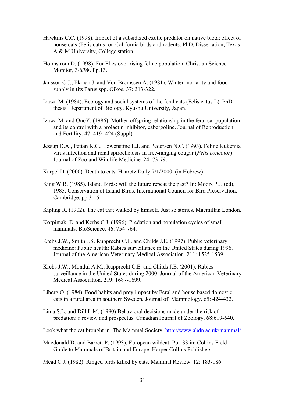- Hawkins C.C. (1998). Impact of a subsidized exotic predator on native biota: effect of house cats (Felis catus) on California birds and rodents. PhD. Dissertation, Texas A & M University, College station.
- Holmstrom D. (1998). Fur Flies over rising feline population. Christian Science Monitor, 3/6/98. Pp.13.
- Jansson C.J., Ekman J. and Von Bromssen A. (1981). Winter mortality and food supply in tits Parus spp. Oikos. 37: 313-322.
- Izawa M. (1984). Ecology and social systems of the feral cats (Felis catus L). PhD thesis. Department of Biology. Kyushu University, Japan.
- Izawa M. and OnoY. (1986). Mother-offspring relationship in the feral cat population and its control with a prolactin inhibitor, cabergoline. Journal of Reproduction and Fertility. 47: 419- 424 (Suppl).
- Jessup D.A., Pettan K.C., Lowenstine L.J. and Pedersen N.C. (1993). Feline leukemia virus infection and renal spirochetosis in free-ranging cougar (*Felis concolor*). Journal of Zoo and Wildlife Medicine. 24: 73-79.
- Karpel D. (2000). Death to cats. Haaretz Daily 7/1/2000. (in Hebrew)
- King W.B. (1985). Island Birds: will the future repeat the past? In: Moors P.J. (ed), 1985. Conservation of Island Birds, International Council for Bird Preservation, Cambridge, pp.3-15.
- Kipling R. (1902). The cat that walked by himself. Just so stories. Macmillan London.
- Korpimaki E. and Kerbs C.J. (1996). Predation and population cycles of small mammals. BioScience. 46: 754-764.
- Krebs J.W., Smith J.S. Rupprecht C.E. and Childs J.E. (1997). Public veterinary medicine: Public health: Rabies surveillance in the United States during 1996. Journal of the American Veterinary Medical Association. 211: 1525-1539.
- Krebs J.W., Mondul A.M., Rupprecht C.E. and Childs J.E. (2001). Rabies surveillance in the United States during 2000. Journal of the American Veterinary Medical Association. 219: 1687-1699.
- Liberg O. (1984). Food habits and prey impact by Feral and house based domestic cats in a rural area in southern Sweden. Journal of Mammology. 65: 424-432.
- Lima S.L. and Dill L.M. (1990) Behavioral decisions made under the risk of predation: a review and prospectus. Canadian Journal of Zoology. 68:619-640.

Look what the cat brought in. The Mammal Society. http://www.abdn.ac.uk/mammal/

Macdonald D. and Barrett P. (1993). European wildcat. Pp 133 in: Collins Field Guide to Mammals of Britain and Europe. Harper Collins Publishers.

Mead C.J. (1982). Ringed birds killed by cats. Mammal Review. 12: 183-186.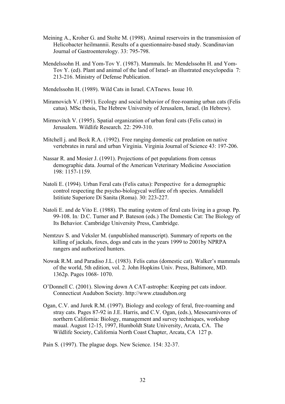- Meining A., Kroher G. and Stolte M. (1998). Animal reservoirs in the transmission of Helicobacter heilmannii. Results of a questionnaire-based study. Scandinavian Journal of Gastroenterology. 33: 795-798.
- Mendelssohn H. and Yom-Tov Y. (1987). Mammals. In: Mendelssohn H. and Yom-Tov Y. (ed). Plant and animal of the land of Israel- an illustrated encyclopedia 7: 213-216. Ministry of Defense Publication.

Mendelssohn H. (1989). Wild Cats in Israel. CATnews. Issue 10.

- Miramovich V. (1991). Ecology and social behavior of free-roaming urban cats (Felis catus). MSc thesis, The Hebrew University of Jerusalem, Israel. (In Hebrew).
- Mirmovitch V. (1995). Spatial organization of urban feral cats (Felis catus) in Jerusalem. Wildlife Research. 22: 299-310.
- Mitchell j. and Beck R.A. (1992). Free ranging domestic cat predation on native vertebrates in rural and urban Virginia. Virginia Journal of Science 43: 197-206.
- Nassar R. and Mosier J. (1991). Projections of pet populations from census demographic data. Journal of the American Veterinary Medicine Association 198: 1157-1159.
- Natoli E. (1994). Urban Feral cats (Felis catus): Perspective for a demographic control respecting the psycho-biologycal welfare of rh species. Annalidell Istitiute Superiore Di Sanita (Roma). 30: 223-227.
- Natoli E. and de Vito E. (1988). The mating system of feral cats living in a group. Pp. 99-108. In*:* D*.*C. Turner and P. Bateson (eds.) The Domestic Cat: The Biology of Its Behavior*.* Cambridge University Press, Cambridge.
- Nemtzuv S. and Veksler M. (unpublished manuscript). Summary of reports on the killing of jackals, foxes, dogs and cats in the years 1999 to 2001by NPRPA rangers and authorized hunters.
- Nowak R.M. and Paradiso J.L. (1983). Felis catus (domestic cat). Walker's mammals of the world, 5th edition, vol. 2. John Hopkins Univ. Press, Baltimore, MD. 1362p. Pages 1068- 1070.
- O'Donnell C. (2001). Slowing down A CAT-astrophe: Keeping pet cats indoor. Connecticut Audubon Society. http://www.ctaudubon.org
- Ogan, C.V. and Jurek R.M. (1997). Biology and ecology of feral, free-roaming and stray cats. Pages 87-92 in J.E. Harris, and C.V. Ogan, (eds.), Mesocarnivores of northern California: Biology, management and survey techniques, workshop maual. August 12-15, 1997, Humboldt State University, Arcata, CA. The Wildlife Society, California North Coast Chapter, Arcata, CA 127 p.

Pain S. (1997). The plague dogs. New Science. 154: 32-37.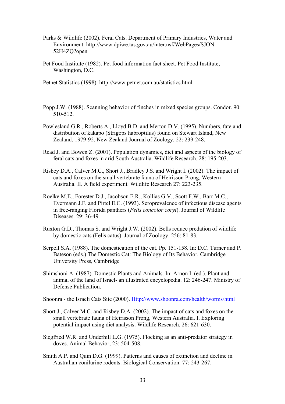- Parks & Wildlife (2002). Feral Cats. Department of Primary Industries, Water and Environment. http://www.dpiwe.tas.gov.au/inter.nsf/WebPages/SJON-52H4ZQ?open
- Pet Food Institute (1982). Pet food information fact sheet. Pet Food Institute, Washington, D.C.

Petnet Statistics (1998). http://www.petnet.com.au/statistics.html

- Popp J.W. (1988). Scanning behavior of finches in mixed species groups. Condor. 90: 510-512.
- Powlesland G.R., Roberts A., Lloyd B.D. and Merton D.V. (1995). Numbers, fate and distribution of kakapo (Strigops habroptilus) found on Stewart Island, New Zealand, 1979-92. New Zealand Journal of Zoology. 22: 239-248.
- Read J. and Bowen Z. (2001). Population dynamics, diet and aspects of the biology of feral cats and foxes in arid South Australia. Wildlife Research. 28: 195-203.
- Risbey D.A., Calver M.C., Short J., Bradley J.S. and Wright I. (2002). The impact of cats and foxes on the small vertebrate fauna of Heirisson Prong, Western Australia. II. A field experiment. Wildlife Research 27: 223-235.
- Roelke M.E., Forester D.J., Jacobson E.R., Kollias G.V., Scott F.W., Barr M.C., Evermann J.F. and Pirtel E.C. (1993). Seroprevalence of infectious disease agents in free-ranging Florida panthers (*Felis concolor coryi*). Journal of Wildlife Diseases. 29: 36-49.
- Ruxton G.D., Thomas S. and Wright J.W. (2002). Bells reduce predation of wildlife by domestic cats (Felis catus). Journal of Zoology. 256: 81-83.
- Serpell S.A. (1988). The domestication of the cat. Pp. 151-158. In: D.C. Turner and P. Bateson (eds.) The Domestic Cat: The Biology of Its Behavior*.* Cambridge University Press, Cambridge
- Shimshoni A. (1987). Domestic Plants and Animals. In: Arnon I. (ed.). Plant and animal of the land of Israel- an illustrated encyclopedia. 12: 246-247. Ministry of Defense Publication.

Shoonra - the Israeli Cats Site (2000). Http://www.shoonra.com/health/worms/html

- Short J., Calver M.C. and Risbey D.A. (2002). The impact of cats and foxes on the small vertebrate fauna of Heirisson Prong, Western Australia. I. Exploring potential impact using diet analysis. Wildlife Research. 26: 621-630.
- Siegfried W.R. and Underhill L.G. (1975). Flocking as an anti-predator strategy in doves. Animal Behavior, 23: 504-508.
- Smith A.P. and Quin D.G. (1999). Patterns and causes of extinction and decline in Australian conilurine rodents. Biological Conservation. 77: 243-267.